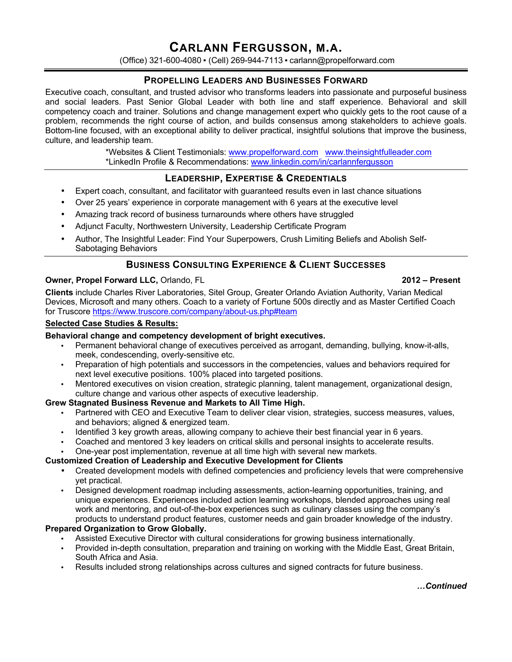# **CARLANN FERGUSSON, M.A.**

(Office) 321-600-4080 ▪ (Cell) 269-944-7113 ▪ carlann@propelforward.com

## **PROPELLING LEADERS AND BUSINESSES FORWARD**

Executive coach, consultant, and trusted advisor who transforms leaders into passionate and purposeful business and social leaders. Past Senior Global Leader with both line and staff experience. Behavioral and skill competency coach and trainer. Solutions and change management expert who quickly gets to the root cause of a problem, recommends the right course of action, and builds consensus among stakeholders to achieve goals. Bottom-line focused, with an exceptional ability to deliver practical, insightful solutions that improve the business, culture, and leadership team.

> \*Websites & Client Testimonials: www.propelforward.com www.theinsightfulleader.com \*LinkedIn Profile & Recommendations: www.linkedin.com/in/carlannfergusson

## **LEADERSHIP, EXPERTISE & CREDENTIALS**

- Expert coach, consultant, and facilitator with guaranteed results even in last chance situations
- Over 25 years' experience in corporate management with 6 years at the executive level
- Amazing track record of business turnarounds where others have struggled
- Adjunct Faculty, Northwestern University, Leadership Certificate Program
- Author, The Insightful Leader: Find Your Superpowers, Crush Limiting Beliefs and Abolish Self-Sabotaging Behaviors

## **BUSINESS CONSULTING EXPERIENCE & CLIENT SUCCESSES**

## **Owner, Propel Forward LLC,** Orlando, FL **2012 – Present**

**Clients** include Charles River Laboratories, Sitel Group, Greater Orlando Aviation Authority, Varian Medical Devices, Microsoft and many others. Coach to a variety of Fortune 500s directly and as Master Certified Coach for Truscore https://www.truscore.com/company/about-us.php#team

## **Selected Case Studies & Results:**

## **Behavioral change and competency development of bright executives.**

- Permanent behavioral change of executives perceived as arrogant, demanding, bullying, know-it-alls, meek, condescending, overly-sensitive etc.
- Preparation of high potentials and successors in the competencies, values and behaviors required for next level executive positions. 100% placed into targeted positions.
- Mentored executives on vision creation, strategic planning, talent management, organizational design, culture change and various other aspects of executive leadership.

### **Grew Stagnated Business Revenue and Markets to All Time High.**

- Partnered with CEO and Executive Team to deliver clear vision, strategies, success measures, values, and behaviors; aligned & energized team.
- Identified 3 key growth areas, allowing company to achieve their best financial year in 6 years.
- Coached and mentored 3 key leaders on critical skills and personal insights to accelerate results.
- One-year post implementation, revenue at all time high with several new markets.

### **Customized Creation of Leadership and Executive Development for Clients**

- Created development models with defined competencies and proficiency levels that were comprehensive yet practical.
- Designed development roadmap including assessments, action-learning opportunities, training, and unique experiences. Experiences included action learning workshops, blended approaches using real work and mentoring, and out-of-the-box experiences such as culinary classes using the company's products to understand product features, customer needs and gain broader knowledge of the industry.

## **Prepared Organization to Grow Globally.**

- Assisted Executive Director with cultural considerations for growing business internationally.
- Provided in-depth consultation, preparation and training on working with the Middle East, Great Britain, South Africa and Asia.
- Results included strong relationships across cultures and signed contracts for future business.

## *…Continued*